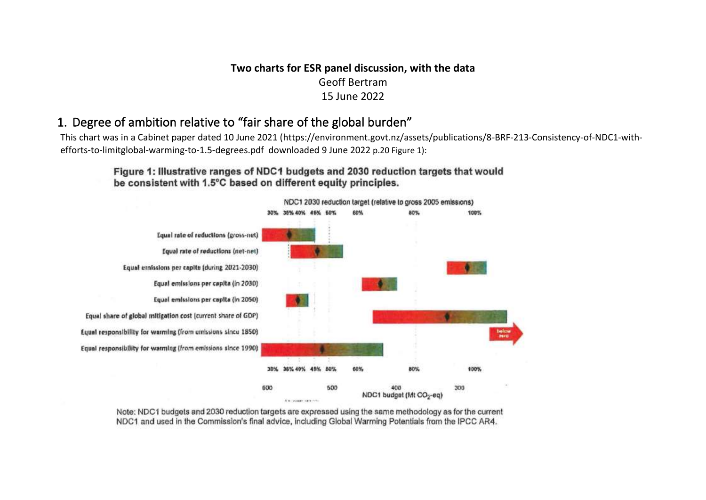### **Two charts for ESR panel discussion, with the data** Geoff Bertram 15 June 2022

## 1. Degree of ambition relative to "fair share of the global burden"

This chart was in a Cabinet paper dated 10 June 2021 (https://environment.govt.nz/assets/publications/8-BRF-213-Consistency-of-NDC1-withefforts-to-limitglobal-warming-to-1.5-degrees.pdf downloaded 9 June 2022 p.20 Figure 1):

### Figure 1: Illustrative ranges of NDC1 budgets and 2030 reduction targets that would be consistent with 1.5°C based on different equity principles.



Note: NDC1 budgets and 2030 reduction targets are expressed using the same methodology as for the current NDC1 and used in the Commission's final advice, including Global Warming Potentials from the IPCC AR4.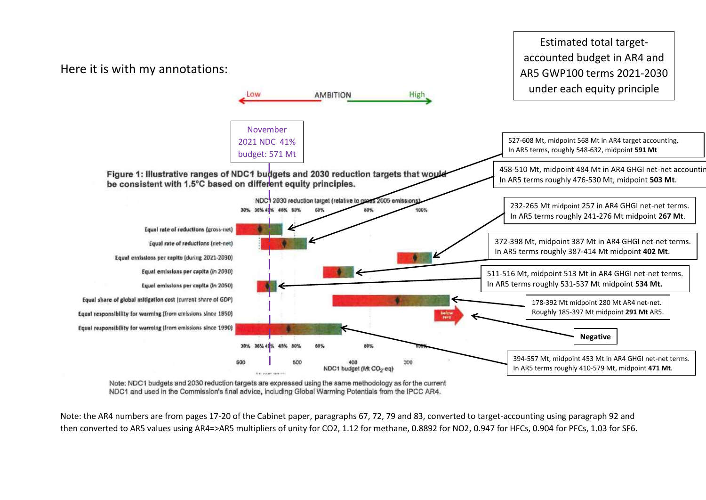

Estimated total targetaccounted budget in AR4 and

Note: NDC1 budgets and 2030 reduction targets are expressed using the same methodology as for the current NDC1 and used in the Commission's final advice, including Global Warming Potentials from the IPCC AR4.

Note: the AR4 numbers are from pages 17-20 of the Cabinet paper, paragraphs 67, 72, 79 and 83, converted to target-accounting using paragraph 92 and then converted to AR5 values using AR4=>AR5 multipliers of unity for CO2, 1.12 for methane, 0.8892 for NO2, 0.947 for HFCs, 0.904 for PFCs, 1.03 for SF6.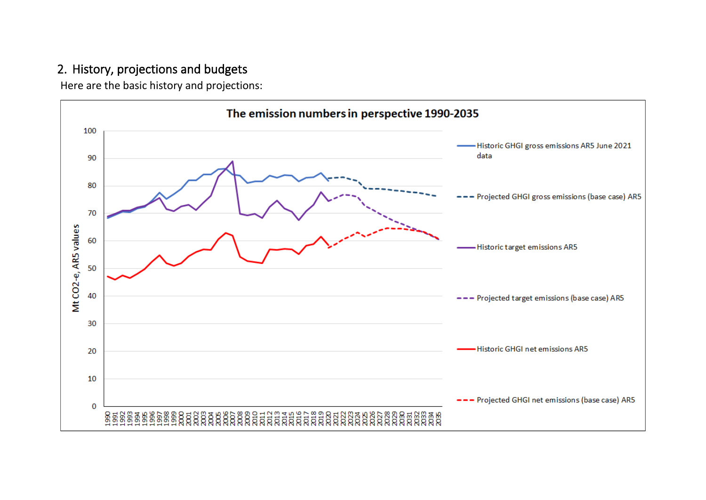# 2. History, projections and budgets

Here are the basic history and projections:

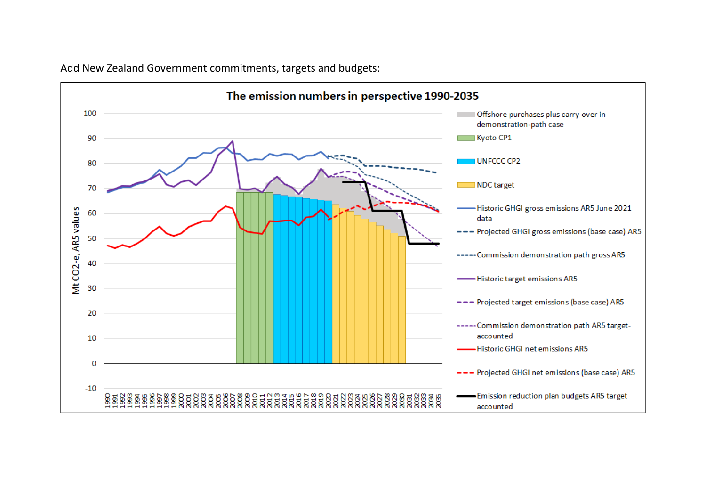

Add New Zealand Government commitments, targets and budgets: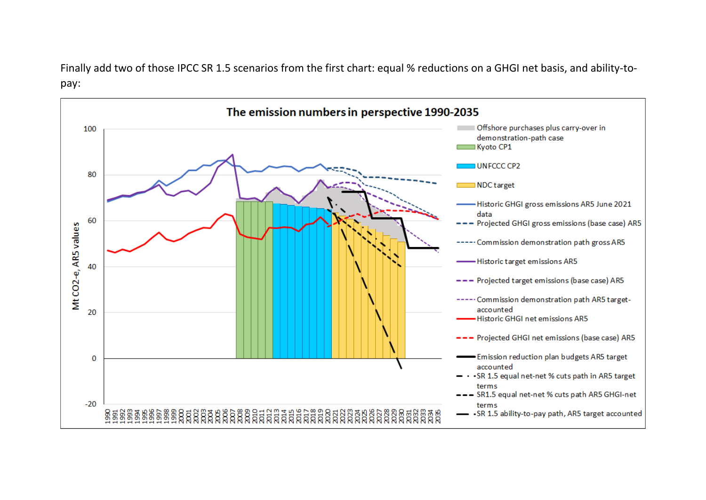Finally add two of those IPCC SR 1.5 scenarios from the first chart: equal % reductions on a GHGI net basis, and ability-topay:

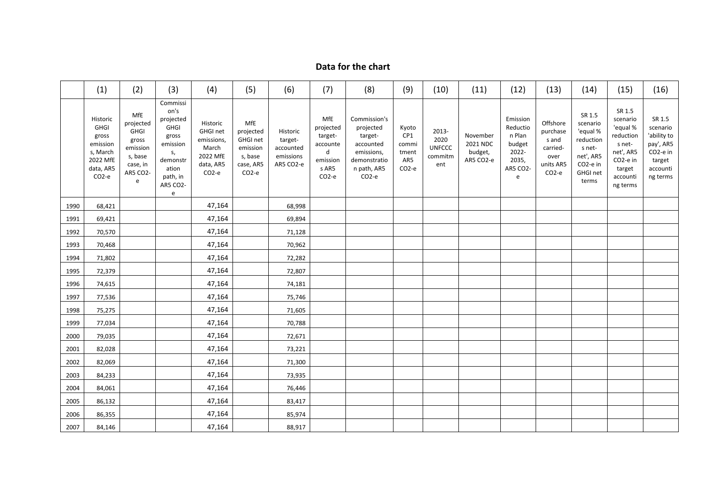### **Data for the chart**

|      | (1)                                                                                                    | (2)                                                                                                 | (3)                                                                                                                       | (4)                                                                                       | (5)                                                                                   | (6)                                                        | (7)                                                                                    | (8)                                                                                                                  | (9)                                                        | (10)                                             | (11)                                         | (12)                                                                        | (13)                                                                      | (14)                                                                                                            | (15)                                                                                                                         | (16)                                                                                         |
|------|--------------------------------------------------------------------------------------------------------|-----------------------------------------------------------------------------------------------------|---------------------------------------------------------------------------------------------------------------------------|-------------------------------------------------------------------------------------------|---------------------------------------------------------------------------------------|------------------------------------------------------------|----------------------------------------------------------------------------------------|----------------------------------------------------------------------------------------------------------------------|------------------------------------------------------------|--------------------------------------------------|----------------------------------------------|-----------------------------------------------------------------------------|---------------------------------------------------------------------------|-----------------------------------------------------------------------------------------------------------------|------------------------------------------------------------------------------------------------------------------------------|----------------------------------------------------------------------------------------------|
|      | Historic<br><b>GHGI</b><br>gross<br>emission<br>s, March<br>2022 MfE<br>data, AR5<br>CO <sub>2-e</sub> | MfE<br>projected<br><b>GHGI</b><br>gross<br>emission<br>s, base<br>case, in<br><b>AR5 CO2-</b><br>e | Commissi<br>on's<br>projected<br><b>GHGI</b><br>gross<br>emission<br>s,<br>demonstr<br>ation<br>path, in<br>AR5 CO2-<br>e | Historic<br>GHGI net<br>emissions,<br>March<br>2022 MfE<br>data, AR5<br>CO <sub>2-e</sub> | MfE<br>projected<br>GHGI net<br>emission<br>s, base<br>case, AR5<br>CO <sub>2-e</sub> | Historic<br>target-<br>accounted<br>emissions<br>AR5 CO2-e | MfE<br>projected<br>target-<br>accounte<br>d<br>emission<br>s AR5<br>CO <sub>2-e</sub> | Commission's<br>projected<br>target-<br>accounted<br>emissions,<br>demonstratio<br>n path, AR5<br>CO <sub>2</sub> -e | Kyoto<br>CP1<br>commi<br>tment<br>AR5<br>CO <sub>2-e</sub> | 2013-<br>2020<br><b>UNFCCC</b><br>commitm<br>ent | November<br>2021 NDC<br>budget,<br>AR5 CO2-e | Emission<br>Reductio<br>n Plan<br>budget<br>2022-<br>2035,<br>AR5 CO2-<br>e | Offshore<br>purchase<br>s and<br>carried-<br>over<br>units AR5<br>$CO2-e$ | SR 1.5<br>scenario<br>'equal %<br>reduction<br>s net-<br>net', AR5<br>CO <sub>2-e</sub> in<br>GHGI net<br>terms | SR 1.5<br>scenario<br>'equal %<br>reduction<br>s net-<br>net', AR5<br>CO <sub>2-e</sub> in<br>target<br>accounti<br>ng terms | SR 1.5<br>scenario<br>'ability to<br>pay', AR5<br>CO2-e in<br>target<br>accounti<br>ng terms |
| 1990 | 68,421                                                                                                 |                                                                                                     |                                                                                                                           | 47,164                                                                                    |                                                                                       | 68,998                                                     |                                                                                        |                                                                                                                      |                                                            |                                                  |                                              |                                                                             |                                                                           |                                                                                                                 |                                                                                                                              |                                                                                              |
| 1991 | 69,421                                                                                                 |                                                                                                     |                                                                                                                           | 47,164                                                                                    |                                                                                       | 69,894                                                     |                                                                                        |                                                                                                                      |                                                            |                                                  |                                              |                                                                             |                                                                           |                                                                                                                 |                                                                                                                              |                                                                                              |
| 1992 | 70,570                                                                                                 |                                                                                                     |                                                                                                                           | 47,164                                                                                    |                                                                                       | 71,128                                                     |                                                                                        |                                                                                                                      |                                                            |                                                  |                                              |                                                                             |                                                                           |                                                                                                                 |                                                                                                                              |                                                                                              |
| 1993 | 70,468                                                                                                 |                                                                                                     |                                                                                                                           | 47,164                                                                                    |                                                                                       | 70,962                                                     |                                                                                        |                                                                                                                      |                                                            |                                                  |                                              |                                                                             |                                                                           |                                                                                                                 |                                                                                                                              |                                                                                              |
| 1994 | 71,802                                                                                                 |                                                                                                     |                                                                                                                           | 47,164                                                                                    |                                                                                       | 72,282                                                     |                                                                                        |                                                                                                                      |                                                            |                                                  |                                              |                                                                             |                                                                           |                                                                                                                 |                                                                                                                              |                                                                                              |
| 1995 | 72,379                                                                                                 |                                                                                                     |                                                                                                                           | 47,164                                                                                    |                                                                                       | 72,807                                                     |                                                                                        |                                                                                                                      |                                                            |                                                  |                                              |                                                                             |                                                                           |                                                                                                                 |                                                                                                                              |                                                                                              |
| 1996 | 74,615                                                                                                 |                                                                                                     |                                                                                                                           | 47,164                                                                                    |                                                                                       | 74,181                                                     |                                                                                        |                                                                                                                      |                                                            |                                                  |                                              |                                                                             |                                                                           |                                                                                                                 |                                                                                                                              |                                                                                              |
| 1997 | 77,536                                                                                                 |                                                                                                     |                                                                                                                           | 47,164                                                                                    |                                                                                       | 75,746                                                     |                                                                                        |                                                                                                                      |                                                            |                                                  |                                              |                                                                             |                                                                           |                                                                                                                 |                                                                                                                              |                                                                                              |
| 1998 | 75,275                                                                                                 |                                                                                                     |                                                                                                                           | 47,164                                                                                    |                                                                                       | 71,605                                                     |                                                                                        |                                                                                                                      |                                                            |                                                  |                                              |                                                                             |                                                                           |                                                                                                                 |                                                                                                                              |                                                                                              |
| 1999 | 77,034                                                                                                 |                                                                                                     |                                                                                                                           | 47,164                                                                                    |                                                                                       | 70,788                                                     |                                                                                        |                                                                                                                      |                                                            |                                                  |                                              |                                                                             |                                                                           |                                                                                                                 |                                                                                                                              |                                                                                              |
| 2000 | 79,035                                                                                                 |                                                                                                     |                                                                                                                           | 47,164                                                                                    |                                                                                       | 72,671                                                     |                                                                                        |                                                                                                                      |                                                            |                                                  |                                              |                                                                             |                                                                           |                                                                                                                 |                                                                                                                              |                                                                                              |
| 2001 | 82,028                                                                                                 |                                                                                                     |                                                                                                                           | 47,164                                                                                    |                                                                                       | 73,221                                                     |                                                                                        |                                                                                                                      |                                                            |                                                  |                                              |                                                                             |                                                                           |                                                                                                                 |                                                                                                                              |                                                                                              |
| 2002 | 82,069                                                                                                 |                                                                                                     |                                                                                                                           | 47,164                                                                                    |                                                                                       | 71,300                                                     |                                                                                        |                                                                                                                      |                                                            |                                                  |                                              |                                                                             |                                                                           |                                                                                                                 |                                                                                                                              |                                                                                              |
| 2003 | 84,233                                                                                                 |                                                                                                     |                                                                                                                           | 47,164                                                                                    |                                                                                       | 73,935                                                     |                                                                                        |                                                                                                                      |                                                            |                                                  |                                              |                                                                             |                                                                           |                                                                                                                 |                                                                                                                              |                                                                                              |
| 2004 | 84,061                                                                                                 |                                                                                                     |                                                                                                                           | 47,164                                                                                    |                                                                                       | 76,446                                                     |                                                                                        |                                                                                                                      |                                                            |                                                  |                                              |                                                                             |                                                                           |                                                                                                                 |                                                                                                                              |                                                                                              |
| 2005 | 86,132                                                                                                 |                                                                                                     |                                                                                                                           | 47,164                                                                                    |                                                                                       | 83,417                                                     |                                                                                        |                                                                                                                      |                                                            |                                                  |                                              |                                                                             |                                                                           |                                                                                                                 |                                                                                                                              |                                                                                              |
| 2006 | 86,355                                                                                                 |                                                                                                     |                                                                                                                           | 47,164                                                                                    |                                                                                       | 85,974                                                     |                                                                                        |                                                                                                                      |                                                            |                                                  |                                              |                                                                             |                                                                           |                                                                                                                 |                                                                                                                              |                                                                                              |
| 2007 | 84,146                                                                                                 |                                                                                                     |                                                                                                                           | 47,164                                                                                    |                                                                                       | 88,917                                                     |                                                                                        |                                                                                                                      |                                                            |                                                  |                                              |                                                                             |                                                                           |                                                                                                                 |                                                                                                                              |                                                                                              |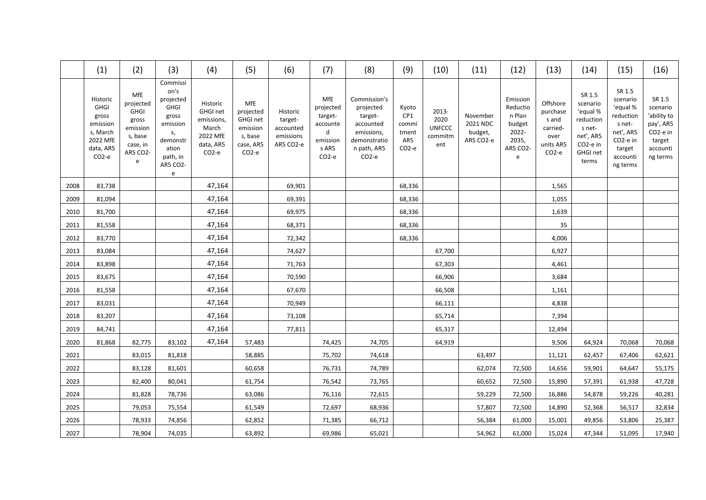|      | (1)                                                                                                    | (2)                                                                                   | (3)                                                                                                                              | (4)                                                                                              | (5)                                                                                   | (6)                                                        | (7)                                                                                    | (8)                                                                                                                  | (9)                                                        | (10)                                             | (11)                                         | (12)                                                                        | (13)                                                                                | (14)                                                                                                             | (15)                                                                                                                          | (16)                                                                                                      |
|------|--------------------------------------------------------------------------------------------------------|---------------------------------------------------------------------------------------|----------------------------------------------------------------------------------------------------------------------------------|--------------------------------------------------------------------------------------------------|---------------------------------------------------------------------------------------|------------------------------------------------------------|----------------------------------------------------------------------------------------|----------------------------------------------------------------------------------------------------------------------|------------------------------------------------------------|--------------------------------------------------|----------------------------------------------|-----------------------------------------------------------------------------|-------------------------------------------------------------------------------------|------------------------------------------------------------------------------------------------------------------|-------------------------------------------------------------------------------------------------------------------------------|-----------------------------------------------------------------------------------------------------------|
|      | Historic<br><b>GHGI</b><br>gross<br>emission<br>s, March<br>2022 MfE<br>data, AR5<br>CO <sub>2-e</sub> | MfE<br>projected<br>GHGI<br>gross<br>emission<br>s, base<br>case, in<br>AR5 CO2-<br>e | Commissi<br>on's<br>projected<br><b>GHGI</b><br>gross<br>emission<br>s,<br>demonstr<br>ation<br>path, in<br><b>AR5 CO2-</b><br>e | Historic<br><b>GHGI net</b><br>emissions,<br>March<br>2022 MfE<br>data, AR5<br>CO <sub>2-e</sub> | MfE<br>projected<br>GHGI net<br>emission<br>s, base<br>case, AR5<br>CO <sub>2-e</sub> | Historic<br>target-<br>accounted<br>emissions<br>AR5 CO2-e | MfE<br>projected<br>target-<br>accounte<br>d<br>emission<br>s AR5<br>CO <sub>2-e</sub> | Commission's<br>projected<br>target-<br>accounted<br>emissions,<br>demonstratio<br>n path, AR5<br>CO <sub>2</sub> -e | Kyoto<br>CP1<br>commi<br>tment<br>AR5<br>CO <sub>2-e</sub> | 2013-<br>2020<br><b>UNFCCC</b><br>commitm<br>ent | November<br>2021 NDC<br>budget,<br>AR5 CO2-e | Emission<br>Reductio<br>n Plan<br>budget<br>2022-<br>2035,<br>AR5 CO2-<br>e | Offshore<br>purchase<br>s and<br>carried-<br>over<br>units AR5<br>CO <sub>2-e</sub> | SR 1.5<br>scenario<br>'equal %<br>reduction<br>s net-<br>net', AR5<br>CO <sub>2</sub> -e in<br>GHGI net<br>terms | SR 1.5<br>scenario<br>'equal %<br>reduction<br>s net-<br>net', AR5<br>CO <sub>2</sub> -e in<br>target<br>accounti<br>ng terms | SR 1.5<br>scenario<br>'ability to<br>pay', AR5<br>CO <sub>2</sub> -e in<br>target<br>accounti<br>ng terms |
| 2008 | 83,738                                                                                                 |                                                                                       |                                                                                                                                  | 47,164                                                                                           |                                                                                       | 69,901                                                     |                                                                                        |                                                                                                                      | 68,336                                                     |                                                  |                                              |                                                                             | 1,565                                                                               |                                                                                                                  |                                                                                                                               |                                                                                                           |
| 2009 | 81,094                                                                                                 |                                                                                       |                                                                                                                                  | 47,164                                                                                           |                                                                                       | 69,391                                                     |                                                                                        |                                                                                                                      | 68,336                                                     |                                                  |                                              |                                                                             | 1,055                                                                               |                                                                                                                  |                                                                                                                               |                                                                                                           |
| 2010 | 81,700                                                                                                 |                                                                                       |                                                                                                                                  | 47,164                                                                                           |                                                                                       | 69,975                                                     |                                                                                        |                                                                                                                      | 68,336                                                     |                                                  |                                              |                                                                             | 1,639                                                                               |                                                                                                                  |                                                                                                                               |                                                                                                           |
| 2011 | 81,558                                                                                                 |                                                                                       |                                                                                                                                  | 47,164                                                                                           |                                                                                       | 68,371                                                     |                                                                                        |                                                                                                                      | 68,336                                                     |                                                  |                                              |                                                                             | 35                                                                                  |                                                                                                                  |                                                                                                                               |                                                                                                           |
| 2012 | 83,770                                                                                                 |                                                                                       |                                                                                                                                  | 47,164                                                                                           |                                                                                       | 72,342                                                     |                                                                                        |                                                                                                                      | 68,336                                                     |                                                  |                                              |                                                                             | 4,006                                                                               |                                                                                                                  |                                                                                                                               |                                                                                                           |
| 2013 | 83,084                                                                                                 |                                                                                       |                                                                                                                                  | 47,164                                                                                           |                                                                                       | 74,627                                                     |                                                                                        |                                                                                                                      |                                                            | 67,700                                           |                                              |                                                                             | 6,927                                                                               |                                                                                                                  |                                                                                                                               |                                                                                                           |
| 2014 | 83,898                                                                                                 |                                                                                       |                                                                                                                                  | 47,164                                                                                           |                                                                                       | 71,763                                                     |                                                                                        |                                                                                                                      |                                                            | 67,303                                           |                                              |                                                                             | 4,461                                                                               |                                                                                                                  |                                                                                                                               |                                                                                                           |
| 2015 | 83,675                                                                                                 |                                                                                       |                                                                                                                                  | 47,164                                                                                           |                                                                                       | 70,590                                                     |                                                                                        |                                                                                                                      |                                                            | 66,906                                           |                                              |                                                                             | 3,684                                                                               |                                                                                                                  |                                                                                                                               |                                                                                                           |
| 2016 | 81,558                                                                                                 |                                                                                       |                                                                                                                                  | 47,164                                                                                           |                                                                                       | 67,670                                                     |                                                                                        |                                                                                                                      |                                                            | 66,508                                           |                                              |                                                                             | 1,161                                                                               |                                                                                                                  |                                                                                                                               |                                                                                                           |
| 2017 | 83,031                                                                                                 |                                                                                       |                                                                                                                                  | 47,164                                                                                           |                                                                                       | 70,949                                                     |                                                                                        |                                                                                                                      |                                                            | 66,111                                           |                                              |                                                                             | 4,838                                                                               |                                                                                                                  |                                                                                                                               |                                                                                                           |
| 2018 | 83,207                                                                                                 |                                                                                       |                                                                                                                                  | 47,164                                                                                           |                                                                                       | 73,108                                                     |                                                                                        |                                                                                                                      |                                                            | 65,714                                           |                                              |                                                                             | 7,394                                                                               |                                                                                                                  |                                                                                                                               |                                                                                                           |
| 2019 | 84,741                                                                                                 |                                                                                       |                                                                                                                                  | 47,164                                                                                           |                                                                                       | 77,811                                                     |                                                                                        |                                                                                                                      |                                                            | 65,317                                           |                                              |                                                                             | 12,494                                                                              |                                                                                                                  |                                                                                                                               |                                                                                                           |
| 2020 | 81,868                                                                                                 | 82,775                                                                                | 83,102                                                                                                                           | 47,164                                                                                           | 57,483                                                                                |                                                            | 74,425                                                                                 | 74,705                                                                                                               |                                                            | 64,919                                           |                                              |                                                                             | 9,506                                                                               | 64,924                                                                                                           | 70,068                                                                                                                        | 70,068                                                                                                    |
| 2021 |                                                                                                        | 83,015                                                                                | 81,818                                                                                                                           |                                                                                                  | 58,885                                                                                |                                                            | 75,702                                                                                 | 74,618                                                                                                               |                                                            |                                                  | 63,497                                       |                                                                             | 11,121                                                                              | 62,457                                                                                                           | 67,406                                                                                                                        | 62,621                                                                                                    |
| 2022 |                                                                                                        | 83,128                                                                                | 81,601                                                                                                                           |                                                                                                  | 60,658                                                                                |                                                            | 76,731                                                                                 | 74,789                                                                                                               |                                                            |                                                  | 62,074                                       | 72,500                                                                      | 14,656                                                                              | 59,901                                                                                                           | 64,647                                                                                                                        | 55,175                                                                                                    |
| 2023 |                                                                                                        | 82,400                                                                                | 80,041                                                                                                                           |                                                                                                  | 61,754                                                                                |                                                            | 76,542                                                                                 | 73,765                                                                                                               |                                                            |                                                  | 60,652                                       | 72,500                                                                      | 15,890                                                                              | 57,391                                                                                                           | 61,938                                                                                                                        | 47,728                                                                                                    |
| 2024 |                                                                                                        | 81,828                                                                                | 78,736                                                                                                                           |                                                                                                  | 63,086                                                                                |                                                            | 76,116                                                                                 | 72,615                                                                                                               |                                                            |                                                  | 59,229                                       | 72,500                                                                      | 16,886                                                                              | 54,878                                                                                                           | 59,226                                                                                                                        | 40,281                                                                                                    |
| 2025 |                                                                                                        | 79,053                                                                                | 75,554                                                                                                                           |                                                                                                  | 61,549                                                                                |                                                            | 72,697                                                                                 | 68,936                                                                                                               |                                                            |                                                  | 57,807                                       | 72,500                                                                      | 14,890                                                                              | 52,368                                                                                                           | 56,517                                                                                                                        | 32,834                                                                                                    |
| 2026 |                                                                                                        | 78,933                                                                                | 74,856                                                                                                                           |                                                                                                  | 62,852                                                                                |                                                            | 71,385                                                                                 | 66,712                                                                                                               |                                                            |                                                  | 56,384                                       | 61,000                                                                      | 15,001                                                                              | 49,856                                                                                                           | 53,806                                                                                                                        | 25,387                                                                                                    |
| 2027 |                                                                                                        | 78,904                                                                                | 74,035                                                                                                                           |                                                                                                  | 63,892                                                                                |                                                            | 69,986                                                                                 | 65,021                                                                                                               |                                                            |                                                  | 54,962                                       | 61,000                                                                      | 15,024                                                                              | 47,344                                                                                                           | 51,095                                                                                                                        | 17,940                                                                                                    |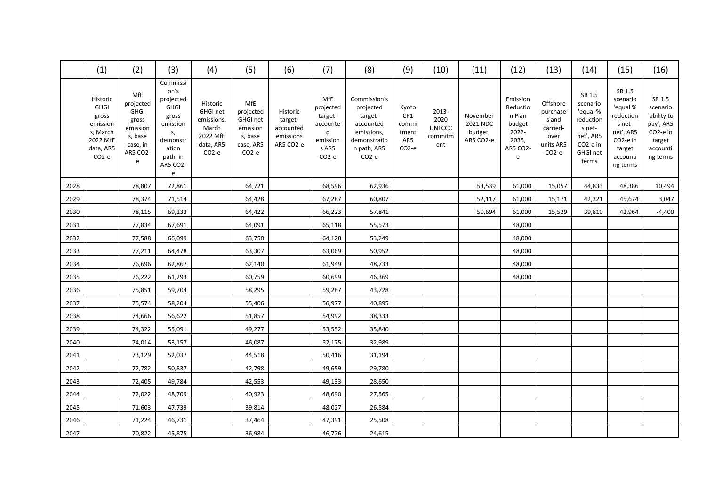|      | (1)                                                                                                    | (2)                                                                                                 | (3)                                                                                                                                      | (4)                                                                                               | (5)                                                                                   | (6)                                                        | (7)                                                                                    | (8)                                                                                                                 | (9)                                                        | (10)                                             | (11)                                         | (12)                                                                        | (13)                                                                                | (14)                                                                                                             | (15)                                                                                                             | (16)                                                                                         |
|------|--------------------------------------------------------------------------------------------------------|-----------------------------------------------------------------------------------------------------|------------------------------------------------------------------------------------------------------------------------------------------|---------------------------------------------------------------------------------------------------|---------------------------------------------------------------------------------------|------------------------------------------------------------|----------------------------------------------------------------------------------------|---------------------------------------------------------------------------------------------------------------------|------------------------------------------------------------|--------------------------------------------------|----------------------------------------------|-----------------------------------------------------------------------------|-------------------------------------------------------------------------------------|------------------------------------------------------------------------------------------------------------------|------------------------------------------------------------------------------------------------------------------|----------------------------------------------------------------------------------------------|
|      | Historic<br><b>GHGI</b><br>gross<br>emission<br>s, March<br>2022 MfE<br>data, AR5<br>CO <sub>2-e</sub> | MfE<br>projected<br><b>GHGI</b><br>gross<br>emission<br>s, base<br>case, in<br><b>AR5 CO2-</b><br>e | Commissi<br>on's<br>projected<br><b>GHGI</b><br>gross<br>emission<br>S,<br>demonstr<br>ation<br>path, in<br><b>AR5 CO2-</b><br>${\bf e}$ | Historic<br><b>GHGI net</b><br>emissions,<br>March<br>2022 MfE<br>data, AR5<br>CO <sub>2</sub> -e | MfE<br>projected<br>GHGI net<br>emission<br>s, base<br>case, AR5<br>CO <sub>2-e</sub> | Historic<br>target-<br>accounted<br>emissions<br>AR5 CO2-e | MfE<br>projected<br>target-<br>accounte<br>d<br>emission<br>s AR5<br>CO <sub>2-e</sub> | Commission's<br>projected<br>target-<br>accounted<br>emissions,<br>demonstratio<br>n path, AR5<br>CO <sub>2-e</sub> | Kyoto<br>CP1<br>commi<br>tment<br>AR5<br>CO <sub>2-e</sub> | 2013-<br>2020<br><b>UNFCCC</b><br>commitm<br>ent | November<br>2021 NDC<br>budget,<br>AR5 CO2-e | Emission<br>Reductio<br>n Plan<br>budget<br>2022-<br>2035,<br>AR5 CO2-<br>e | Offshore<br>purchase<br>s and<br>carried-<br>over<br>units AR5<br>CO <sub>2-e</sub> | SR 1.5<br>scenario<br>'equal %<br>reduction<br>s net-<br>net', AR5<br>CO <sub>2</sub> -e in<br>GHGI net<br>terms | SR 1.5<br>scenario<br>'equal %<br>reduction<br>s net-<br>net', AR5<br>CO2-e in<br>target<br>accounti<br>ng terms | SR 1.5<br>scenario<br>'ability to<br>pay', AR5<br>CO2-e in<br>target<br>accounti<br>ng terms |
| 2028 |                                                                                                        | 78,807                                                                                              | 72,861                                                                                                                                   |                                                                                                   | 64,721                                                                                |                                                            | 68,596                                                                                 | 62,936                                                                                                              |                                                            |                                                  | 53,539                                       | 61,000                                                                      | 15,057                                                                              | 44,833                                                                                                           | 48,386                                                                                                           | 10,494                                                                                       |
| 2029 |                                                                                                        | 78,374                                                                                              | 71,514                                                                                                                                   |                                                                                                   | 64,428                                                                                |                                                            | 67,287                                                                                 | 60,807                                                                                                              |                                                            |                                                  | 52,117                                       | 61,000                                                                      | 15,171                                                                              | 42,321                                                                                                           | 45,674                                                                                                           | 3,047                                                                                        |
| 2030 |                                                                                                        | 78,115                                                                                              | 69,233                                                                                                                                   |                                                                                                   | 64,422                                                                                |                                                            | 66,223                                                                                 | 57,841                                                                                                              |                                                            |                                                  | 50,694                                       | 61,000                                                                      | 15,529                                                                              | 39,810                                                                                                           | 42,964                                                                                                           | $-4,400$                                                                                     |
| 2031 |                                                                                                        | 77,834                                                                                              | 67,691                                                                                                                                   |                                                                                                   | 64,091                                                                                |                                                            | 65,118                                                                                 | 55,573                                                                                                              |                                                            |                                                  |                                              | 48,000                                                                      |                                                                                     |                                                                                                                  |                                                                                                                  |                                                                                              |
| 2032 |                                                                                                        | 77,588                                                                                              | 66,099                                                                                                                                   |                                                                                                   | 63,750                                                                                |                                                            | 64,128                                                                                 | 53,249                                                                                                              |                                                            |                                                  |                                              | 48,000                                                                      |                                                                                     |                                                                                                                  |                                                                                                                  |                                                                                              |
| 2033 |                                                                                                        | 77,211                                                                                              | 64,478                                                                                                                                   |                                                                                                   | 63,307                                                                                |                                                            | 63,069                                                                                 | 50,952                                                                                                              |                                                            |                                                  |                                              | 48,000                                                                      |                                                                                     |                                                                                                                  |                                                                                                                  |                                                                                              |
| 2034 |                                                                                                        | 76,696                                                                                              | 62,867                                                                                                                                   |                                                                                                   | 62,140                                                                                |                                                            | 61,949                                                                                 | 48,733                                                                                                              |                                                            |                                                  |                                              | 48,000                                                                      |                                                                                     |                                                                                                                  |                                                                                                                  |                                                                                              |
| 2035 |                                                                                                        | 76,222                                                                                              | 61,293                                                                                                                                   |                                                                                                   | 60,759                                                                                |                                                            | 60,699                                                                                 | 46,369                                                                                                              |                                                            |                                                  |                                              | 48,000                                                                      |                                                                                     |                                                                                                                  |                                                                                                                  |                                                                                              |
| 2036 |                                                                                                        | 75,851                                                                                              | 59,704                                                                                                                                   |                                                                                                   | 58,295                                                                                |                                                            | 59,287                                                                                 | 43,728                                                                                                              |                                                            |                                                  |                                              |                                                                             |                                                                                     |                                                                                                                  |                                                                                                                  |                                                                                              |
| 2037 |                                                                                                        | 75,574                                                                                              | 58,204                                                                                                                                   |                                                                                                   | 55,406                                                                                |                                                            | 56,977                                                                                 | 40,895                                                                                                              |                                                            |                                                  |                                              |                                                                             |                                                                                     |                                                                                                                  |                                                                                                                  |                                                                                              |
| 2038 |                                                                                                        | 74,666                                                                                              | 56,622                                                                                                                                   |                                                                                                   | 51,857                                                                                |                                                            | 54,992                                                                                 | 38,333                                                                                                              |                                                            |                                                  |                                              |                                                                             |                                                                                     |                                                                                                                  |                                                                                                                  |                                                                                              |
| 2039 |                                                                                                        | 74,322                                                                                              | 55,091                                                                                                                                   |                                                                                                   | 49,277                                                                                |                                                            | 53,552                                                                                 | 35,840                                                                                                              |                                                            |                                                  |                                              |                                                                             |                                                                                     |                                                                                                                  |                                                                                                                  |                                                                                              |
| 2040 |                                                                                                        | 74,014                                                                                              | 53,157                                                                                                                                   |                                                                                                   | 46,087                                                                                |                                                            | 52,175                                                                                 | 32,989                                                                                                              |                                                            |                                                  |                                              |                                                                             |                                                                                     |                                                                                                                  |                                                                                                                  |                                                                                              |
| 2041 |                                                                                                        | 73,129                                                                                              | 52,037                                                                                                                                   |                                                                                                   | 44,518                                                                                |                                                            | 50,416                                                                                 | 31,194                                                                                                              |                                                            |                                                  |                                              |                                                                             |                                                                                     |                                                                                                                  |                                                                                                                  |                                                                                              |
| 2042 |                                                                                                        | 72,782                                                                                              | 50,837                                                                                                                                   |                                                                                                   | 42,798                                                                                |                                                            | 49,659                                                                                 | 29,780                                                                                                              |                                                            |                                                  |                                              |                                                                             |                                                                                     |                                                                                                                  |                                                                                                                  |                                                                                              |
| 2043 |                                                                                                        | 72,405                                                                                              | 49,784                                                                                                                                   |                                                                                                   | 42,553                                                                                |                                                            | 49,133                                                                                 | 28,650                                                                                                              |                                                            |                                                  |                                              |                                                                             |                                                                                     |                                                                                                                  |                                                                                                                  |                                                                                              |
| 2044 |                                                                                                        | 72,022                                                                                              | 48,709                                                                                                                                   |                                                                                                   | 40,923                                                                                |                                                            | 48,690                                                                                 | 27,565                                                                                                              |                                                            |                                                  |                                              |                                                                             |                                                                                     |                                                                                                                  |                                                                                                                  |                                                                                              |
| 2045 |                                                                                                        | 71,603                                                                                              | 47,739                                                                                                                                   |                                                                                                   | 39,814                                                                                |                                                            | 48,027                                                                                 | 26,584                                                                                                              |                                                            |                                                  |                                              |                                                                             |                                                                                     |                                                                                                                  |                                                                                                                  |                                                                                              |
| 2046 |                                                                                                        | 71,224                                                                                              | 46,731                                                                                                                                   |                                                                                                   | 37,464                                                                                |                                                            | 47,391                                                                                 | 25,508                                                                                                              |                                                            |                                                  |                                              |                                                                             |                                                                                     |                                                                                                                  |                                                                                                                  |                                                                                              |
| 2047 |                                                                                                        | 70,822                                                                                              | 45,875                                                                                                                                   |                                                                                                   | 36,984                                                                                |                                                            | 46,776                                                                                 | 24,615                                                                                                              |                                                            |                                                  |                                              |                                                                             |                                                                                     |                                                                                                                  |                                                                                                                  |                                                                                              |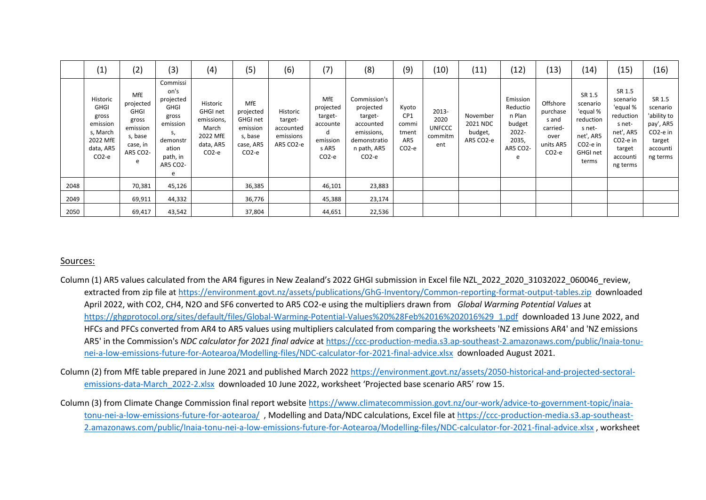|      | (1)                                                                                          | (2)                                                                                                 | (3)                                                                                                                       | (4)                                                                                              | (5)                                                                                       | (6)                                                        | (7)                                                                          | (8)                                                                                                       | (9)                                                          | (10)                                             | (11)                                         | (12)                                                                        | (13)                                                                      | $\left(14\right)$                                                                                                       | (15)                                                                                                                          | (16)                                                                                                      |
|------|----------------------------------------------------------------------------------------------|-----------------------------------------------------------------------------------------------------|---------------------------------------------------------------------------------------------------------------------------|--------------------------------------------------------------------------------------------------|-------------------------------------------------------------------------------------------|------------------------------------------------------------|------------------------------------------------------------------------------|-----------------------------------------------------------------------------------------------------------|--------------------------------------------------------------|--------------------------------------------------|----------------------------------------------|-----------------------------------------------------------------------------|---------------------------------------------------------------------------|-------------------------------------------------------------------------------------------------------------------------|-------------------------------------------------------------------------------------------------------------------------------|-----------------------------------------------------------------------------------------------------------|
|      | Historic<br><b>GHGI</b><br>gross<br>emission<br>s, March<br>2022 MfE<br>data, AR5<br>$CO2-e$ | <b>MfE</b><br>projected<br><b>GHGI</b><br>gross<br>emission<br>s, base<br>case, in<br>AR5 CO2-<br>e | Commissi<br>on's<br>projected<br><b>GHGI</b><br>gross<br>emission<br>S,<br>demonstr<br>ation<br>path, in<br>AR5 CO2-<br>e | Historic<br><b>GHGI net</b><br>emissions,<br>March<br>2022 MfE<br>data, AR5<br>CO <sub>2-e</sub> | <b>MfE</b><br>projected<br><b>GHGI net</b><br>emission<br>s, base<br>case, AR5<br>$CO2-e$ | Historic<br>target-<br>accounted<br>emissions<br>AR5 CO2-e | MfE<br>projected<br>target-<br>accounte<br>d<br>emission<br>s AR5<br>$CO2-e$ | Commission's<br>projected<br>target-<br>accounted<br>emissions,<br>demonstratio<br>n path, AR5<br>$CO2-e$ | Kyoto<br>CP <sub>1</sub><br>commi<br>tment<br>AR5<br>$CO2-e$ | 2013-<br>2020<br><b>UNFCCC</b><br>commitm<br>ent | November<br>2021 NDC<br>budget,<br>AR5 CO2-e | Emission<br>Reductio<br>n Plan<br>budget<br>2022-<br>2035,<br>AR5 CO2-<br>e | Offshore<br>purchase<br>s and<br>carried-<br>over<br>units AR5<br>$CO2-e$ | SR 1.5<br>scenario<br>'equal %<br>reduction<br>s net-<br>net', AR5<br>CO <sub>2</sub> -e in<br><b>GHGI net</b><br>terms | SR 1.5<br>scenario<br>'equal %<br>reduction<br>s net-<br>net', AR5<br>CO <sub>2</sub> -e in<br>target<br>accounti<br>ng terms | SR 1.5<br>scenario<br>'ability to<br>pay', AR5<br>CO <sub>2</sub> -e in<br>target<br>accounti<br>ng terms |
| 2048 |                                                                                              | 70,381                                                                                              | 45,126                                                                                                                    |                                                                                                  | 36,385                                                                                    |                                                            | 46,101                                                                       | 23,883                                                                                                    |                                                              |                                                  |                                              |                                                                             |                                                                           |                                                                                                                         |                                                                                                                               |                                                                                                           |
| 2049 |                                                                                              | 69,911                                                                                              | 44,332                                                                                                                    |                                                                                                  | 36,776                                                                                    |                                                            | 45,388                                                                       | 23,174                                                                                                    |                                                              |                                                  |                                              |                                                                             |                                                                           |                                                                                                                         |                                                                                                                               |                                                                                                           |
| 2050 |                                                                                              | 69,417                                                                                              | 43,542                                                                                                                    |                                                                                                  | 37,804                                                                                    |                                                            | 44,651                                                                       | 22,536                                                                                                    |                                                              |                                                  |                                              |                                                                             |                                                                           |                                                                                                                         |                                                                                                                               |                                                                                                           |

#### Sources:

- Column (1) AR5 values calculated from the AR4 figures in New Zealand's 2022 GHGI submission in Excel file NZL\_2022\_2020\_31032022\_060046\_review, extracted from zip file a[t https://environment.govt.nz/assets/publications/GhG-Inventory/Common-reporting-format-output-tables.zip](https://environment.govt.nz/assets/publications/GhG-Inventory/Common-reporting-format-output-tables.zip) downloaded April 2022, with CO2, CH4, N2O and SF6 converted to AR5 CO2-e using the multipliers drawn from *Global Warming Potential Values* at [https://ghgprotocol.org/sites/default/files/Global-Warming-Potential-Values%20%28Feb%2016%202016%29\\_1.pdf](https://ghgprotocol.org/sites/default/files/Global-Warming-Potential-Values%20%28Feb%2016%202016%29_1.pdf) downloaded 13 June 2022, and HFCs and PFCs converted from AR4 to AR5 values using multipliers calculated from comparing the worksheets 'NZ emissions AR4' and 'NZ emissions AR5' in the Commission's *NDC calculator for 2021 final advice* a[t https://ccc-production-media.s3.ap-southeast-2.amazonaws.com/public/Inaia-tonu](https://ccc-production-media.s3.ap-southeast-2.amazonaws.com/public/Inaia-tonu-nei-a-low-emissions-future-for-Aotearoa/Modelling-files/NDC-calculator-for-2021-final-advice.xlsx)[nei-a-low-emissions-future-for-Aotearoa/Modelling-files/NDC-calculator-for-2021-final-advice.xlsx](https://ccc-production-media.s3.ap-southeast-2.amazonaws.com/public/Inaia-tonu-nei-a-low-emissions-future-for-Aotearoa/Modelling-files/NDC-calculator-for-2021-final-advice.xlsx) downloaded August 2021.
- Column (2) from MfE table prepared in June 2021 and published March 2022 [https://environment.govt.nz/assets/2050-historical-and-projected-sectoral](https://environment.govt.nz/assets/2050-historical-and-projected-sectoral-emissions-data-March_2022-2.xlsx)[emissions-data-March\\_2022-2.xlsx](https://environment.govt.nz/assets/2050-historical-and-projected-sectoral-emissions-data-March_2022-2.xlsx) downloaded 10 June 2022, worksheet 'Projected base scenario AR5' row 15.
- Column (3) from Climate Change Commission final report website [https://www.climatecommission.govt.nz/our-work/advice-to-government-topic/inaia](https://www.climatecommission.govt.nz/our-work/advice-to-government-topic/inaia-tonu-nei-a-low-emissions-future-for-aotearoa/)[tonu-nei-a-low-emissions-future-for-aotearoa/](https://www.climatecommission.govt.nz/our-work/advice-to-government-topic/inaia-tonu-nei-a-low-emissions-future-for-aotearoa/) , Modelling and Data/NDC calculations, Excel file at [https://ccc-production-media.s3.ap-southeast-](https://ccc-production-media.s3.ap-southeast-2.amazonaws.com/public/Inaia-tonu-nei-a-low-emissions-future-for-Aotearoa/Modelling-files/NDC-calculator-for-2021-final-advice.xlsx)[2.amazonaws.com/public/Inaia-tonu-nei-a-low-emissions-future-for-Aotearoa/Modelling-files/NDC-calculator-for-2021-final-advice.xlsx](https://ccc-production-media.s3.ap-southeast-2.amazonaws.com/public/Inaia-tonu-nei-a-low-emissions-future-for-Aotearoa/Modelling-files/NDC-calculator-for-2021-final-advice.xlsx) , worksheet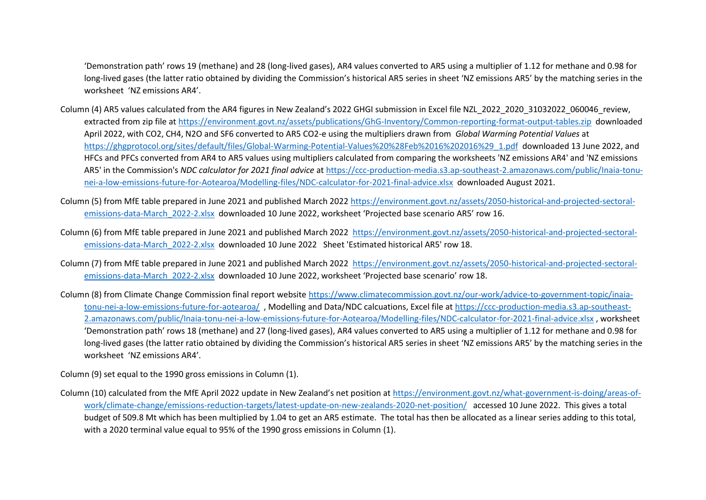'Demonstration path' rows 19 (methane) and 28 (long-lived gases), AR4 values converted to AR5 using a multiplier of 1.12 for methane and 0.98 for long-lived gases (the latter ratio obtained by dividing the Commission's historical AR5 series in sheet 'NZ emissions AR5' by the matching series in the worksheet 'NZ emissions AR4'.

- Column (4) AR5 values calculated from the AR4 figures in New Zealand's 2022 GHGI submission in Excel file NZL\_2022\_2020\_31032022\_060046\_review, extracted from zip file a[t https://environment.govt.nz/assets/publications/GhG-Inventory/Common-reporting-format-output-tables.zip](https://environment.govt.nz/assets/publications/GhG-Inventory/Common-reporting-format-output-tables.zip) downloaded April 2022, with CO2, CH4, N2O and SF6 converted to AR5 CO2-e using the multipliers drawn from *Global Warming Potential Values* at [https://ghgprotocol.org/sites/default/files/Global-Warming-Potential-Values%20%28Feb%2016%202016%29\\_1.pdf](https://ghgprotocol.org/sites/default/files/Global-Warming-Potential-Values%20%28Feb%2016%202016%29_1.pdf) downloaded 13 June 2022, and HFCs and PFCs converted from AR4 to AR5 values using multipliers calculated from comparing the worksheets 'NZ emissions AR4' and 'NZ emissions AR5' in the Commission's *NDC calculator for 2021 final advice* a[t https://ccc-production-media.s3.ap-southeast-2.amazonaws.com/public/Inaia-tonu](https://ccc-production-media.s3.ap-southeast-2.amazonaws.com/public/Inaia-tonu-nei-a-low-emissions-future-for-Aotearoa/Modelling-files/NDC-calculator-for-2021-final-advice.xlsx)[nei-a-low-emissions-future-for-Aotearoa/Modelling-files/NDC-calculator-for-2021-final-advice.xlsx](https://ccc-production-media.s3.ap-southeast-2.amazonaws.com/public/Inaia-tonu-nei-a-low-emissions-future-for-Aotearoa/Modelling-files/NDC-calculator-for-2021-final-advice.xlsx) downloaded August 2021.
- Column (5) from MfE table prepared in June 2021 and published March 2022 [https://environment.govt.nz/assets/2050-historical-and-projected-sectoral](https://environment.govt.nz/assets/2050-historical-and-projected-sectoral-emissions-data-March_2022-2.xlsx)[emissions-data-March\\_2022-2.xlsx](https://environment.govt.nz/assets/2050-historical-and-projected-sectoral-emissions-data-March_2022-2.xlsx) downloaded 10 June 2022, worksheet 'Projected base scenario AR5' row 16.
- Column (6) from MfE table prepared in June 2021 and published March 2022 [https://environment.govt.nz/assets/2050-historical-and-projected-sectoral](https://environment.govt.nz/assets/2050-historical-and-projected-sectoral-emissions-data-March_2022-2.xlsx)[emissions-data-March\\_2022-2.xlsx](https://environment.govt.nz/assets/2050-historical-and-projected-sectoral-emissions-data-March_2022-2.xlsx) downloaded 10 June 2022 Sheet 'Estimated historical AR5' row 18.
- Column (7) from MfE table prepared in June 2021 and published March 2022 [https://environment.govt.nz/assets/2050-historical-and-projected-sectoral](https://environment.govt.nz/assets/2050-historical-and-projected-sectoral-emissions-data-March_2022-2.xlsx)[emissions-data-March\\_2022-2.xlsx](https://environment.govt.nz/assets/2050-historical-and-projected-sectoral-emissions-data-March_2022-2.xlsx) downloaded 10 June 2022, worksheet 'Projected base scenario' row 18.
- Column (8) from Climate Change Commission final report website [https://www.climatecommission.govt.nz/our-work/advice-to-government-topic/inaia](https://www.climatecommission.govt.nz/our-work/advice-to-government-topic/inaia-tonu-nei-a-low-emissions-future-for-aotearoa/)[tonu-nei-a-low-emissions-future-for-aotearoa/](https://www.climatecommission.govt.nz/our-work/advice-to-government-topic/inaia-tonu-nei-a-low-emissions-future-for-aotearoa/) , Modelling and Data/NDC calcuations, Excel file a[t https://ccc-production-media.s3.ap-southeast-](https://ccc-production-media.s3.ap-southeast-2.amazonaws.com/public/Inaia-tonu-nei-a-low-emissions-future-for-Aotearoa/Modelling-files/NDC-calculator-for-2021-final-advice.xlsx)[2.amazonaws.com/public/Inaia-tonu-nei-a-low-emissions-future-for-Aotearoa/Modelling-files/NDC-calculator-for-2021-final-advice.xlsx](https://ccc-production-media.s3.ap-southeast-2.amazonaws.com/public/Inaia-tonu-nei-a-low-emissions-future-for-Aotearoa/Modelling-files/NDC-calculator-for-2021-final-advice.xlsx) , worksheet 'Demonstration path' rows 18 (methane) and 27 (long-lived gases), AR4 values converted to AR5 using a multiplier of 1.12 for methane and 0.98 for long-lived gases (the latter ratio obtained by dividing the Commission's historical AR5 series in sheet 'NZ emissions AR5' by the matching series in the worksheet 'NZ emissions AR4'.

Column (9) set equal to the 1990 gross emissions in Column (1).

Column (10) calculated from the MfE April 2022 update in New Zealand's net position at [https://environment.govt.nz/what-government-is-doing/areas-of](https://environment.govt.nz/what-government-is-doing/areas-of-work/climate-change/emissions-reduction-targets/latest-update-on-new-zealands-2020-net-position/)[work/climate-change/emissions-reduction-targets/latest-update-on-new-zealands-2020-net-position/](https://environment.govt.nz/what-government-is-doing/areas-of-work/climate-change/emissions-reduction-targets/latest-update-on-new-zealands-2020-net-position/) accessed 10 June 2022. This gives a total budget of 509.8 Mt which has been multiplied by 1.04 to get an AR5 estimate. The total has then be allocated as a linear series adding to this total, with a 2020 terminal value equal to 95% of the 1990 gross emissions in Column (1).